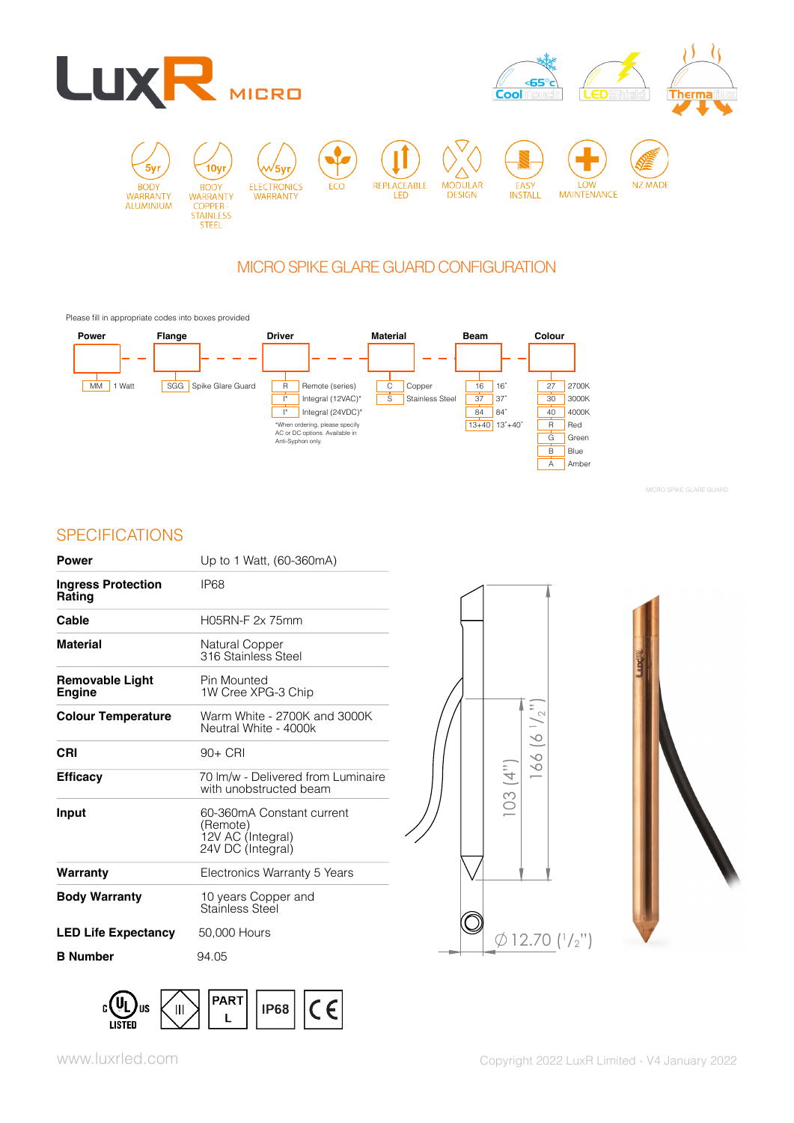

# MICRO SPIKE GLARE GUARD CONFIGURATION

Please fill in appropriate codes into boxes provided



MICRO SPIKE GLARE GUARD

# **SPECIFICATIONS**

| Power                                   | Up to 1 Watt, (60-360mA)                                                        |
|-----------------------------------------|---------------------------------------------------------------------------------|
| <b>Ingress Protection</b><br>Rating     | IP68                                                                            |
| Cable                                   | H05RN-F 2x 75mm                                                                 |
| <b>Material</b>                         | Natural Copper<br>316 Stainless Steel                                           |
| <b>Removable Light</b><br><b>Engine</b> | Pin Mounted<br>1W Cree XPG-3 Chip                                               |
| <b>Colour Temperature</b>               | Warm White - 2700K and 3000K<br>Neutral White - 4000k                           |
| CRI                                     | $90+$ CRI                                                                       |
| <b>Efficacy</b>                         | 70 Im/w - Delivered from Luminaire<br>with unobstructed beam                    |
| Input                                   | 60-360mA Constant current<br>(Remote)<br>12V AC (Integral)<br>24V DC (Integral) |
| Warranty                                | Electronics Warranty 5 Years                                                    |
| <b>Body Warranty</b>                    | 10 years Copper and<br>Stainless Steel                                          |
| <b>LED Life Expectancy</b>              | 50,000 Hours                                                                    |
| <b>B</b> Number                         | 94.05                                                                           |